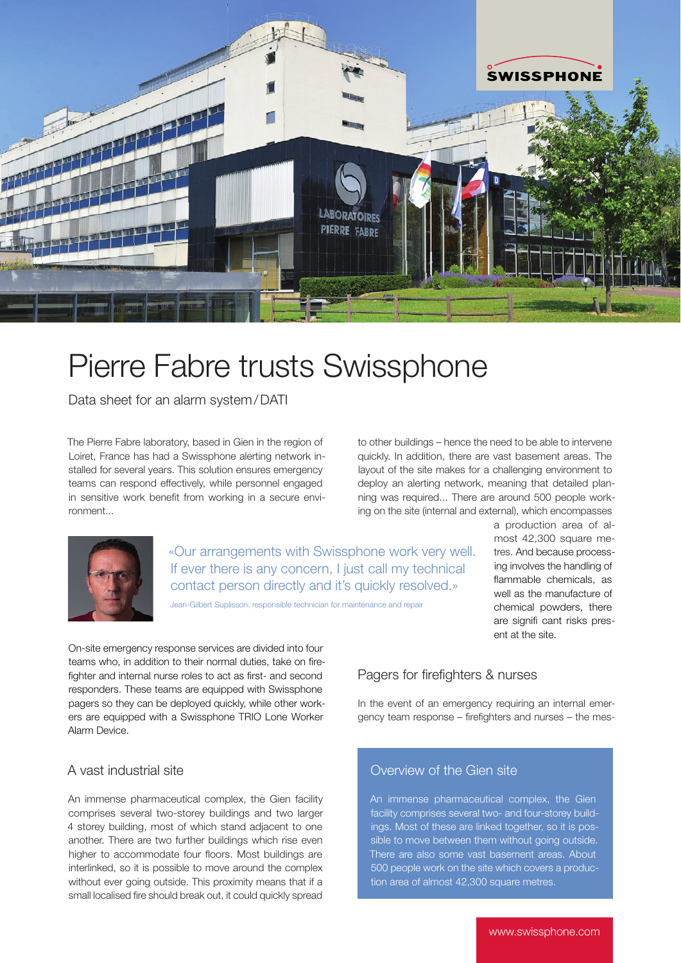

# Pierre Fabre trusts Swissphone

Data sheet for an alarm system/DATI

The Pierre Fabre laboratory, based in Gien in the region of Loiret, France has had a Swissphone alerting network installed for several years. This solution ensures emergency teams can respond effectively, while personnel engaged in sensitive work benefit from working in a secure environment...

to other buildings – hence the need to be able to intervene quickly. In addition, there are vast basement areas. The layout of the site makes for a challenging environment to deploy an alerting network, meaning that detailed planning was required... There are around 500 people working on the site (internal and external), which encompasses



«Our arrangements with Swissphone work very well. If ever there is any concern, I just call my technical contact person directly and it's quickly resolved.»

Jean-Gilbert Suplisson, responsible technician for maintenance and repair

On-site emergency response services are divided into four teams who, in addition to their normal duties, take on firefighter and internal nurse roles to act as first- and second responders. These teams are equipped with Swissphone pagers so they can be deployed quickly, while other workers are equipped with a Swissphone TRIO Lone Worker Alarm Device.

### A vast industrial site

An immense pharmaceutical complex, the Gien facility comprises several two-storey buildings and two larger 4 storey building, most of which stand adjacent to one another. There are two further buildings which rise even higher to accommodate four floors. Most buildings are interlinked, so it is possible to move around the complex without ever going outside. This proximity means that if a small localised fire should break out, it could quickly spread

# Pagers for firefighters & nurses

In the event of an emergency requiring an internal emergency team response – firefighters and nurses – the mes-

## Overview of the Gien site

An immense pharmaceutical complex, the Gien facility comprises several two- and four-storey buildings. Most of these are linked together, so it is possible to move between them without going outside. There are also some vast basement areas. About 500 people work on the site which covers a production area of almost 42,300 square metres.

a production area of almost 42,300 square metres. And because processing involves the handling of flammable chemicals, as well as the manufacture of chemical powders, there are signifi cant risks present at the site.